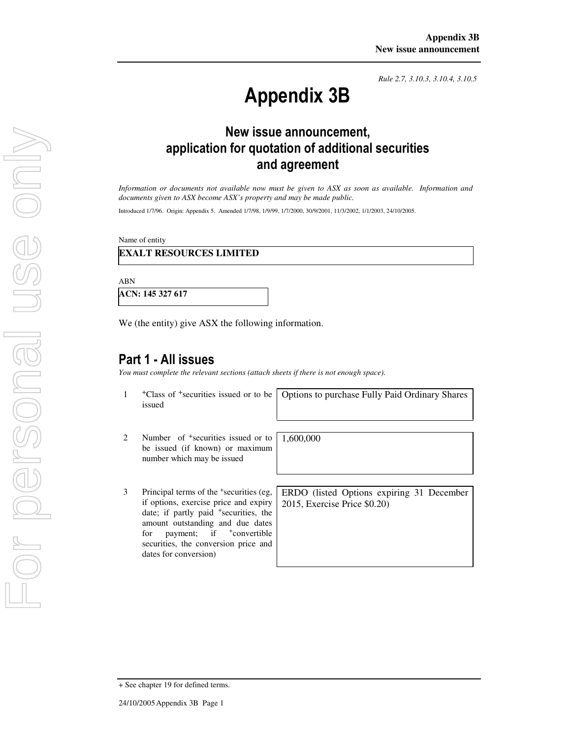*Rule 2.7, 3.10.3, 3.10.4, 3.10.5*

# Appendix 3B

# New issue announcement, application for quotation of additional securities and agreement

*Information or documents not available now must be given to ASX as soon as available. Information and documents given to ASX become ASX's property and may be made public.* 

Introduced 1/7/96. Origin: Appendix 5. Amended 1/7/98, 1/9/99, 1/7/2000, 30/9/2001, 11/3/2002, 1/1/2003, 24/10/2005.

Name of entity

### **EXALT RESOURCES LIMITED**

ABN

**ACN: 145 327 617**

We (the entity) give ASX the following information.

# Part 1 - All issues

*You must complete the relevant sections (attach sheets if there is not enough space).*

1 +Class of +securities issued or to be issued

Options to purchase Fully Paid Ordinary Shares

- 2 Number of <sup>+</sup>securities issued or to be issued (if known) or maximum number which may be issued
- 3 Principal terms of the <sup>+</sup>securities (eg, if options, exercise price and expiry date; if partly paid <sup>+</sup>securities, the amount outstanding and due dates for payment; if  $\pm$ convertible securities, the conversion price and dates for conversion)

1,600,000

ERDO (listed Options expiring 31 December 2015, Exercise Price \$0.20)

<sup>+</sup> See chapter 19 for defined terms.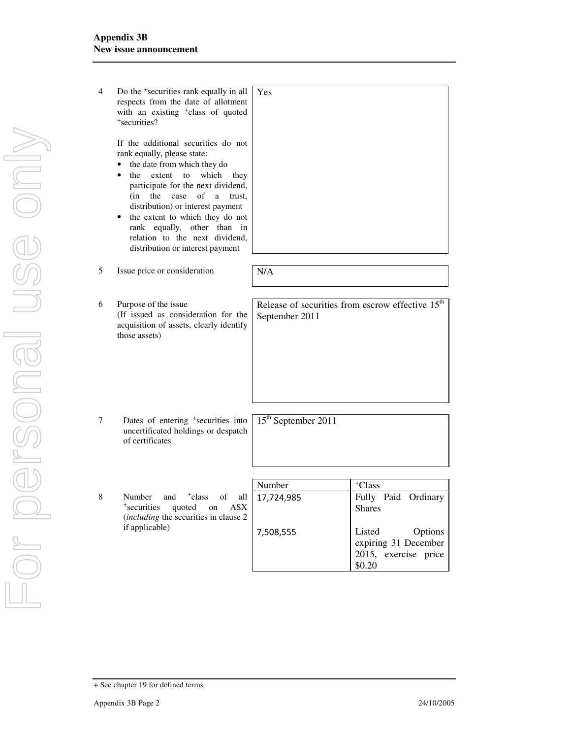| 4 | Do the <sup>+</sup> securities rank equally in all<br>respects from the date of allotment<br>with an existing <sup>+</sup> class of quoted<br><sup>+</sup> securities?<br>If the additional securities do not<br>rank equally, please state:<br>the date from which they do<br>to<br>which<br>the<br>extent<br>they<br>$\bullet$<br>participate for the next dividend,<br>of<br>(in<br>the<br>case<br>a<br>trust.<br>distribution) or interest payment<br>the extent to which they do not<br>rank equally, other than in<br>relation to the next dividend,<br>distribution or interest payment | Yes                                                                            |                                                                                   |
|---|------------------------------------------------------------------------------------------------------------------------------------------------------------------------------------------------------------------------------------------------------------------------------------------------------------------------------------------------------------------------------------------------------------------------------------------------------------------------------------------------------------------------------------------------------------------------------------------------|--------------------------------------------------------------------------------|-----------------------------------------------------------------------------------|
| 5 | Issue price or consideration                                                                                                                                                                                                                                                                                                                                                                                                                                                                                                                                                                   | N/A                                                                            |                                                                                   |
|   |                                                                                                                                                                                                                                                                                                                                                                                                                                                                                                                                                                                                |                                                                                |                                                                                   |
| 6 | Purpose of the issue<br>(If issued as consideration for the<br>acquisition of assets, clearly identify<br>those assets)                                                                                                                                                                                                                                                                                                                                                                                                                                                                        | Release of securities from escrow effective 15 <sup>th</sup><br>September 2011 |                                                                                   |
| 7 | Dates of entering <sup>+</sup> securities into<br>uncertificated holdings or despatch<br>of certificates                                                                                                                                                                                                                                                                                                                                                                                                                                                                                       | 15 <sup>th</sup> September 2011                                                |                                                                                   |
|   |                                                                                                                                                                                                                                                                                                                                                                                                                                                                                                                                                                                                |                                                                                |                                                                                   |
|   |                                                                                                                                                                                                                                                                                                                                                                                                                                                                                                                                                                                                | Number                                                                         | <sup>+</sup> Class                                                                |
| 8 | Number<br>and<br><sup>+</sup> class<br>οf<br>all<br>+securities<br><b>ASX</b><br>quoted<br>on<br>(including the securities in clause 2<br>if applicable)                                                                                                                                                                                                                                                                                                                                                                                                                                       | 17,724,985<br>7,508,555                                                        | Fully Paid Ordinary<br><b>Shares</b><br>Listed<br>Options<br>expiring 31 December |
|   |                                                                                                                                                                                                                                                                                                                                                                                                                                                                                                                                                                                                |                                                                                | 2015, exercise price<br>\$0.20                                                    |

For personal use onlyFOR DOFSONGI

USG ONN

<sup>+</sup> See chapter 19 for defined terms.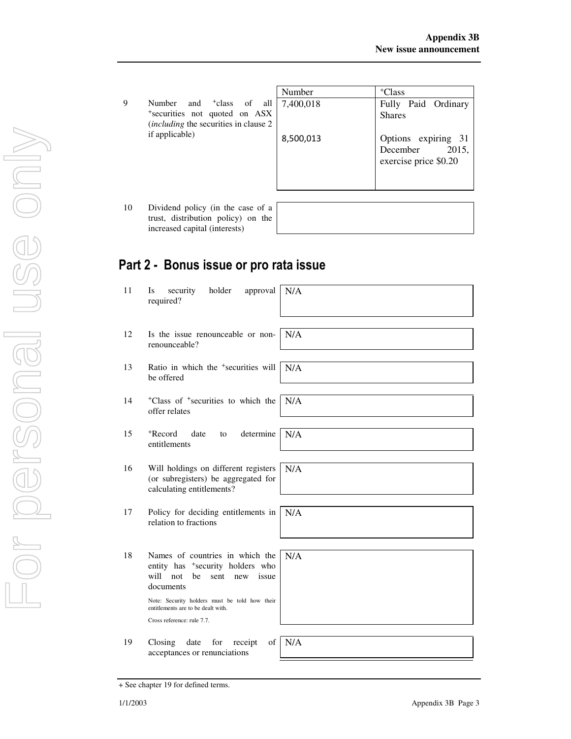|                                                                                                                                      | Number    | <sup>+</sup> Class                                                |
|--------------------------------------------------------------------------------------------------------------------------------------|-----------|-------------------------------------------------------------------|
| all 1<br><sup>+</sup> class<br>of<br>Number<br>and<br>*securities not quoted on ASX<br><i>(including the securities in clause 2)</i> | 7,400,018 | Fully Paid Ordinary<br><b>Shares</b>                              |
| if applicable)                                                                                                                       | 8,500,013 | Options expiring 31<br>2015,<br>December<br>exercise price \$0.20 |

10 Dividend policy (in the case of trust, distribution policy) on th increased capital (interests)

| a |  |
|---|--|
| e |  |
|   |  |
|   |  |

# Part 2 - Bonus issue or pro rata issue

11 Is security holder approval required? N/A 12 Is the issue renounceable or nonrenounceable? N/A 13 Ratio in which the <sup>+</sup>securities will be offered N/A 14 <sup>+</sup>Class of <sup>+</sup>securities to which the offer relates N/A 15 <sup>+</sup>Record date to determine entitlements N/A 16 Will holdings on different registers (or subregisters) be aggregated for calculating entitlements? N/A 17 Policy for deciding entitlements in relation to fractions N/A 18 Names of countries in which the entity has <sup>+</sup>security holders who will not be sent new issue documents Note: Security holders must be told how their entitlements are to be dealt with. Cross reference: rule 7.7. N/A 19 Closing date for receipt of acceptances or renunciations N/A

<sup>+</sup> See chapter 19 for defined terms.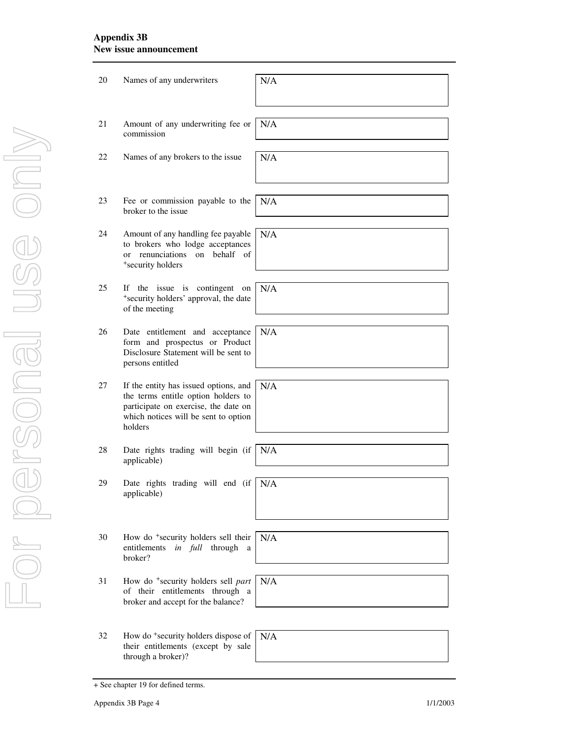## **Appendix 3B New issue announcement**

| 20 | Names of any underwriters                                                                                                                                               | N/A |
|----|-------------------------------------------------------------------------------------------------------------------------------------------------------------------------|-----|
| 21 | Amount of any underwriting fee or<br>commission                                                                                                                         | N/A |
| 22 | Names of any brokers to the issue                                                                                                                                       | N/A |
| 23 | Fee or commission payable to the<br>broker to the issue                                                                                                                 | N/A |
| 24 | Amount of any handling fee payable<br>to brokers who lodge acceptances<br>renunciations on behalf of<br><sub>or</sub><br>*security holders                              | N/A |
| 25 | If the issue is contingent<br>on<br>*security holders' approval, the date<br>of the meeting                                                                             | N/A |
| 26 | Date entitlement and acceptance<br>form and prospectus or Product<br>Disclosure Statement will be sent to<br>persons entitled                                           | N/A |
| 27 | If the entity has issued options, and<br>the terms entitle option holders to<br>participate on exercise, the date on<br>which notices will be sent to option<br>holders | N/A |
| 28 | Date rights trading will begin (if<br>applicable)                                                                                                                       | N/A |
| 29 | Date rights trading will end (if $N/A$ )<br>applicable)                                                                                                                 |     |
| 30 | How do <sup>+</sup> security holders sell their<br>entitlements<br>in full through a<br>broker?                                                                         | N/A |
| 31 | How do <sup>+</sup> security holders sell part<br>of their entitlements through a<br>broker and accept for the balance?                                                 | N/A |
| 32 | How do <sup>+</sup> security holders dispose of<br>their entitlements (except by sale<br>through a broker)?                                                             | N/A |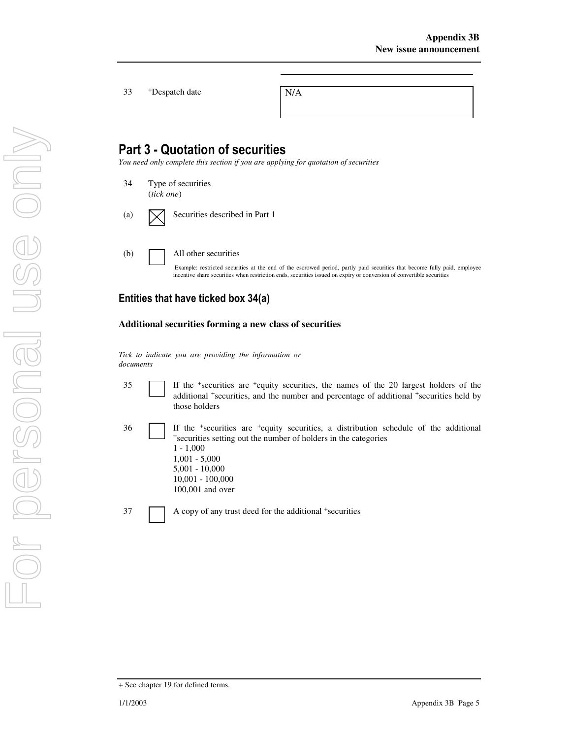33 +Despatch date N/A

# Part 3 - Quotation of securities

*You need only complete this section if you are applying for quotation of securities* 

34 Type of securities (*tick one*)

(a)  $\boxed{\bigtimes}$  Securities described in Part 1

(b) All other securities

Example: restricted securities at the end of the escrowed period, partly paid securities that become fully paid, employee incentive share securities when restriction ends, securities issued on expiry or conversion of convertible securities

# Entities that have ticked box 34(a)

### **Additional securities forming a new class of securities**

*Tick to indicate you are providing the information or documents*

35 If the <sup>+</sup>securities are <sup>+</sup>equity securities, the names of the 20 largest holders of the additional <sup>+</sup>securities, and the number and percentage of additional <sup>+</sup>securities held by those holders

36 If the <sup>+</sup> securities are <sup>+</sup>equity securities, a distribution schedule of the additional <sup>+</sup>securities setting out the number of holders in the categories 1 - 1,000 1,001 - 5,000 5,001 - 10,000 10,001 - 100,000 100,001 and over

37 A copy of any trust deed for the additional <sup>+</sup>securities

For personal use onlyFor personal use only

<sup>+</sup> See chapter 19 for defined terms.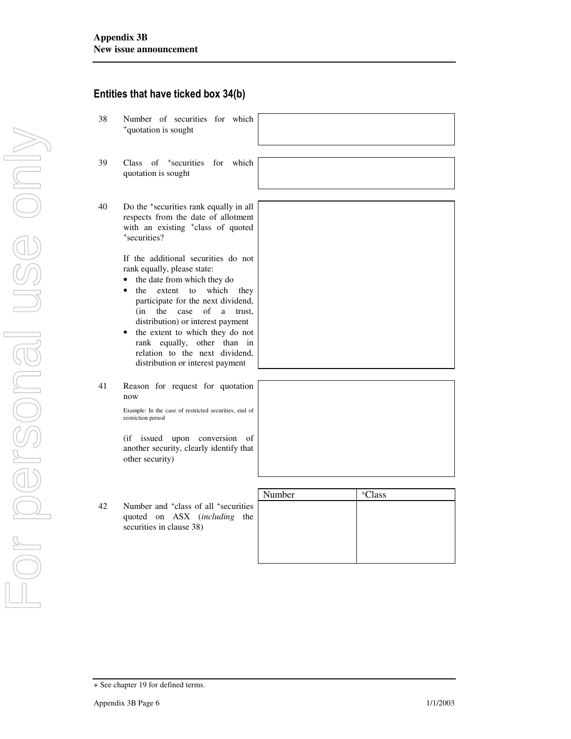+ See chapter 19 for defined terms.

# For personal use onlyFor personal use only now

# Entities that have ticked box 34(b)

- 38 Number of securities for which <sup>+</sup>quotation is sought
- 39 Class of <sup>+</sup>securities for which quotation is sought
- 40 Do the <sup>+</sup>securities rank equally in all respects from the date of allotment with an existing <sup>+</sup>class of quoted <sup>+</sup>securities?

If the additional securities do not rank equally, please state:

- the date from which they do
- the extent to which they participate for the next dividend, (in the case of a trust, distribution) or interest payment
- the extent to which they do not rank equally, other than in relation to the next dividend, distribution or interest payment
- 41 Reason for request for quotation

Example: In the case of restricted securities, end of restriction period

(if issued upon conversion of another security, clearly identify that other security)

|    |                                                                                                                          | Number | <sup>+</sup> Class |
|----|--------------------------------------------------------------------------------------------------------------------------|--------|--------------------|
| 42 | Number and <sup>+</sup> class of all <sup>+</sup> securities<br>quoted on ASX (including the<br>securities in clause 38) |        |                    |
|    |                                                                                                                          |        |                    |